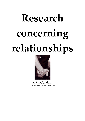# Research concerning relationships



Rafal Gendarz Dedicated to my Guru Raj – Visti Larsen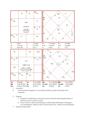

1. Ascendent:

- 2. Upapada
	- a. Upapada is in third bhava so they get in touch with each other through medium of internet. (Lord is involved in curse)
	- b. It was 7 from AL which mean that native could feel the relationship as blockage to own development.. Shukra is with 7L and in kona to 7H – partner was artist (painter).
- 3. Timing of start & break

a) In that chart first Upapada is in Aq with Ra and Mars, partner had Scorpio (ma) Ascendent.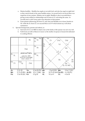- a. Shukra-buddha Buddha has argala on seventh lord, and also has argal on eight lord so they start & break in the same buddha antara. As second lord is involved there was suspicion of new partner. (Shukra rasi in eight). Buddha is also in seventh bhava giving events related to relationships and in kona to UL activating the same. As seventh lord is with Venus native has attraction to that partner.
- b. From planets influencing 2H from UL only Sani and Buddha are in kona/kendra to NL while the 2L from UL is in second bhava in D-9 which doesnt say well about sustainence.
- 4. Specials (background, parents and others), as
	- a. Sani lord of UL is in MKS in shatru-rasi so the family of the spouse was not very rich.
	- b. Forth from seventh is Moon in Cancer so the mother of spouse is housewife dedicated to cooking (Moon).

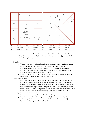

Ascendent:

b) This is chart of partner of native from previous chart. This was  $2<sup>nd</sup>$  relationship. The 2Upapada is in Leo aspected by Sani. Partner had Saggitarius Lagna (agni-rasi) with Sani in it confirming the rule.

#### Upapada

- c. Upapada is in tenth. Lord is in Surya-Rahu Yoga in eight with strong Jupiter giving partner interested in spirituality. AK was involved so it was serious for native(personal). (Lord is involved in curse). The 2<sup>nd</sup> in Navamsa is Surya with Saggitarius which shows person who likes to read books about spirituality. Ketu in kona to that shows attraction towards meditation.
- d. It was 8 from AL which mean that native could feel that as some promise/debt and that relation also strained the financial side of native.

Timing of start & break

e. Shukra-Buddha, Buddha is in kona to 2H and has argala on 2L in D-9. But Buddha also shows third relationship (being in eight from 2H) and is also 8L in D-9 which generally cause breakage so relationship failed in the same Buddha-dasa. Buddha was in kona to Navamsa Lagna but Ra/Ma aspect on 2 from UL cause breakage. Buddha was in MKS in D-1 so the weak position adds to it.. Buddha is in ninth bhava in D-9 so in Buddha dasa I foretold third relationship.. (fifth from AL and 7H in D-1)

Specials (background, parents and others), as

- f. UL lord is with exalted graha so the family was strong financially..
- g. Forth from second is Jupiterian sign aspected by Jupiter so mother of partner dealt with money a lot in her work. And that Lord is in seventh from that point (forth house) so mother of partner is travelling a lot.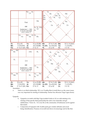

Ascendent:

c) Native is on third relationship. 3UL is in Vrsabha-Rasi in tenth bhava so the career issues was very important for starting of relationship. Partner has offcourse Virgo Lagna (kona).

Upapada

- h. Upapada is in tenth with Raja Yoga (exalted Graha in AL) so with starting or by starting of that specific third partnership the native rise materially and get stabilization. 7 from AL / UL is Ju/Ke so the community of brahmanas can be against that match.
- i. Conjunction of Upapada with Arudha-pada gave similar attitudes and social being/identification. Presence of seventh lord shows lovemarriage and its like that.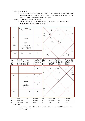Timing of start & break

j. It was in Rahu-chandra Vimshottari, Chandra has argala on ninth lord (third person). Chandra is also in 3UL and with 7L in D-1 (Jara Yoga). As there is conjunction of 7L native travelled during that time from birthplace.

Specials (background, parents and others), as

k. In ninth bhava there is Venus so partner is engaged in artistic field and likes shoping/clothing and parties – having fun.



Ascendent:

d) This is chart of partner of native from previous chart. First UL is in Dhanus. Partner has Leo Lagna. (agni rasi)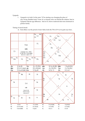#### Upapada

l. Upapada is in forth. So the main "if"for starting was changing the place of stay/living. Buddha lords 7 from AL so friends cirlce can disturb the relation. Sani in Upapada indicate age difference. Sani in UL shows maternal-side more dominant in partner-family.

### Timing of start & break

m. Ketu-Rahu was the period of start. Rahu lords the 7H in D-9 so its quite eays here..

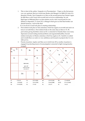1. This is chart of the author. Upapada is in Pisces(partner – Virgo), so the first person was very spiritual. But its in sixth from Shukra and Mangal is in MKS (2L from UL) therefore it broke. Next Upapada is in Libra so the second person has Gemini Lagna. Its fifth bhava with Venus and seventh lord so its love-relationship. Its yuti RajaYogas in fifth(raja) bhava so that relation can be vital/crucial point for rise. (Shukra is dispositor). 7L from 2UL is Mangal which gives us hint that brother can disturb harmony. And its like that!

3L is involved so mail took place in starting relationship.

- 2. First relation took place in Sani antardasa which has argala on seventh lord and is in kona to seventh bhava. First relation broke in the same dasa as there is 7L/8L parivartana giving shorttime union (as 8L is connected to Chandra there were many depression around ending-mental problems and arguments(buddha). Second relation took place in Shukra-antardasa which has argala on 2L. Sani(2L) is exalted and in tenth bhava so native is very ambitious and focused on projects (her LL is in 10H in D-1).
- 3. Parents of partner. Jupiter and Mars are in forth from 2H so mother of partner is engaged in protecting (mars) of money(jupiter) connected to light/energy(meshamangal).

| Bu<br>  Ra | Sy | Gu | $\mathsf{GL}% _{n}$                                                  | SL.<br>Ma | Gk.<br>Lg      |        | Md<br>$\mathsf{SL}% _{2}\left( \mathcal{M}\right)$<br>Gk<br>Ch<br>Ma<br>∥HL<br>4<br>z<br>Lg |               |         |                |  |
|------------|----|----|----------------------------------------------------------------------|-----------|----------------|--------|---------------------------------------------------------------------------------------------|---------------|---------|----------------|--|
|            | Sk |    | Rasi                                                                 |           | Md<br>Сh       |        | АL<br>Bu<br>Gu<br>$\mathfrak{Z}$<br>Кe<br>Sy<br>Ra<br>t<br>Sk<br>(Sa)                       |               |         |                |  |
|            |    |    | ewe w-wa<br>April 9, 1987<br>10:55:02 (2:00 east)<br>21 E 0, 52 N 15 | HL        |                |        |                                                                                             |               |         |                |  |
|            |    |    | (Sa)                                                                 |           | AL.<br>Кe      |        |                                                                                             |               |         |                |  |
| As:        |    |    | 27 Ge 30                                                             | Su:       | 25 Pi 19 (BK)  | Mo:    |                                                                                             | 28 Cn 52 (AK) | Ma:     | 8 Ta 48 (GK)   |  |
| Me:        |    |    | 1 Pi 05 (DK)                                                         | Jut       | 15 Pi 23 (PiK) | Ve:    |                                                                                             | 20 Aq 20 (MK) | Sa (R): | 27 Sc 25 (AmK) |  |
| Ra:        |    |    | 17 Pi 36 (PK)                                                        | Ke:       | 17 Vi 36       | $HL$ : |                                                                                             | 23 Le 37      | GL:     | 6 Ar 23        |  |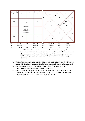

Second 2UL is in Pisces with Jupiter / Sun and Rahu. Which can give partner as spiritual person interested in astrology. But that must be confirmed in Navamsa. In D-9 Jupiter is in scorpio in kona to 2H which strengnthed previous argument. Presence of A7 and 7L gave lovemarriage. 3L is involved so mail took place in starting relationship.

- 1. Timing, Rahu is in seventh bhava in D-9 and gave first relation. Guru being 7L in D-1 and in kona to 2H with 2L gave second relation. Shukra antardasa in Chaturaseeti has argal on 2L.
- 2. Upapada is in tenth bhava with position in 7 from AL which gives us hint that with appearance of partner rise and career of native will begin.
- 3. Parents. Thats interesting!. 4 from Buddha is Shukra afflicted by Sun mother of partner teach biology. Ninth from second is Ma/Sa in Guru sign. Father is teacher of mechanical engineering(mangal) with a lot of construction(sani) elements.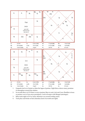

- 1. Upapada lord is in Gemini so thats the lagna of partner. Eight bhava shows many promises in atmosphere around the relation.
- 2. In seventh bhava in D-9 there is surya (partner likes to read a lot) and Guru/Buddha in kona so partner was in Guru-sisya parampara. Lord in Scorpio with Mangal (astrologer).
- 3. Rahu lords eight in D-9 so many obsession was around ending union.
- 4. Took place and broke in Sani antardasa (lord of seventh and eight)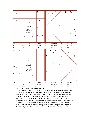

1. Upapada lord is in Virgo. Partner had Virgo Lagna

2. Upapada is in ninth. They met and were functioning around temple-atmosphere. Buddha lording show friend-intervention. Guru & Mangal show dynamic personality engaged in spirituality (guru in ninth). Tenth and Chandra (2 from UL) shows breakage as problem in career and maintenence/mental issues respectively. Mental issues are confirmed in Navamsa as 8L is Moon with deb Mercury (arguments) in forth bhava. As Ra/Ma are influencing 2 from 7H there were strifes and law issues. Of course it was all in Buddha dasa (7L with 8L) – again this yuti shows short-term-union. Tenth from seventh is Buddha (selling) Chandra (nuts) in Pisces (temple-place of resources) as type of work of partner. Buddha is 9L(woman chart) and aspects 5L in D-7 child was born during that time..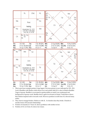![](_page_11_Figure_0.jpeg)

- 1. This is previous example partner (virgo lagna). Previous person is now indicated by 2UL. 2UL Lord is Buddha with Shukra which shows love and artistic field (2L is also in Shukra-Buddha Yoga) of spouse. Buddha is overcomed in grahayuddha so match was condemned and background of spouse weak. Buddha shows again involvment of friend. Tenth bhava shows that relation inspired native towards work. However position in sixth from AL showed many strifes.
- 2. They meet in mangal-shukra. Shukra is with 2L. In chandra dasa they broke. Chandra is maraka lord to 2H (second relationship).
- 3. Position of Chandra in 7 from AL shows problems with mother-in-law.
- 4. Position of UL in 6 from AL shows law issues.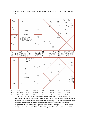5. In Rahu-rahu he get child. Rahu is in fifth bhava in D-1 & D-7. 5L is in sixth – child was born ill.

![](_page_12_Figure_1.jpeg)

1. 2UL is in Scorpio(Cancer Lagna of partner-Jala Rasi). They began in Venus antardasa in Dwisaptati. Venus is 2L in D-9(second partnership). 7L is AK so relationship is very important for native. Venus dominates so it was Gandharva relationship. We are sure thats second union of native, cause its ninth bhava and they meet in bachelor-level of studies. As Guru in dispositor of Shukra and aspects 2H person is interested in philosophy. And Shukra shows also good manner and conventional / dharmic(saggitarius) approach. Guru in kona in d-9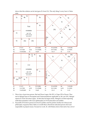![](_page_13_Figure_0.jpeg)

shows that this relation can be last (guru 2L from UL). The only thing I worry here is Vakra state.

- 1. This is boy of previous person. She had Pisces Lagna. His 2UL is Virgo (7H is Pisces). They met in Mangal dasa in Dwisaptati and Chaturaseeti(more applicable as AK yuti 10L). Mangal aspects 2L from Navamsa Lagna. In that dasa he begun study. Mangal is in third aspecting ninth bhava(studies) with Guru (philosophy) in D-24 (education and siddhi)
- 2. Surya(2H; D-9) shows person involved in politics and his partner studies law (Surya) and philosophy (Aquarius Rasi). Rahu is in tenth bhava therefrom indicated person strict and responsible in projects-issues. Focused on work. 2L with Shukra shows that native has a lot of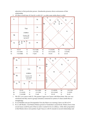attraction to that particular person. Atmakaraka presence shows seriousness of that relationship.

![](_page_14_Figure_1.jpeg)

3. (D-1)Its in sixth from AL but 6L is with AL L, so after some strifes there is relief.

![](_page_14_Figure_3.jpeg)

- 1. His 2UL is in cancer with UL. His partner Lagna was Cancer with Moon there. She was very emotional and they meet in groups (chandra) connected to system of values (ninth bhava) – straightedge.
- 2. It was Buddha-sani per Dwisaptati(in Vim also Shani was running). Sani is in 2H in D-9.
- 3. 8L is with Shukra. And Shukra-Shukra period in Vimshottari caused break. Shukra shows that sexual issues could be part of that as native wanted to live in celibacy, while other proposition is that Shukra shows next partner of girl. Surya is with 3L (marak to second relationship) and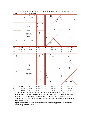![](_page_15_Figure_0.jpeg)

9L (8H from 2H) and was running in Dwisaptati scheme while breakage. Ra and Ma in 3H shows many strifes in relationship.

- 1. 2UL is with Rahu and her partner was very original and unconventional. Taurus and Scorpio was Lagna of native. Rahu is also in 2H in D-9. And it was Rahu antardasa when they start relationship. Mangal is in Paraspar Karaka to Guru so they broke in Guru dasa. Its sixth occupance in Rasi chart is more reasonable here. Mangal as 3L shows celibacy especially with Ketu in eight bhava.
- 2. Upapada in eleventh bhava shows many friends around starting point and Venusian Rasi shows many contacts/parties.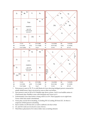![](_page_16_Figure_0.jpeg)

- 1. First person is seen in 7H. 7L is with Shukra & Guru showing inteligent person connected to artistic field(Venus). Sani is involved in curse so that was broken.
- 2. Next person is seen in 2H in D-9. Buddha sign shows actress. And it was buddha antara in Chaturaseeti dasa. Buddha is also with darapada and Venus in d-1.
- 3. Unfortunately Guru dasa broke it, being with 3L in D-9. That Upapada was in eight from Venus which also made it shortlasted.
- 4. Venus play crucial role in breaking. A) lording 3H. b) Lording 2H from 2UL. So there is suspicion of third person in breaking.
- 5. Sani in forth is in 2H from 2UL so native suffered a lot due to that.
- 6. UL and 2UL lords are involved in curse of lover..
- 7. Third bhava placement of UL shows letter/sms as starting element.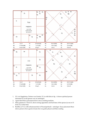![](_page_17_Figure_0.jpeg)

- 1. UL is in Saggitarius. Partner was Gemini. UL is with Ketu in Sg it shows spiritual person interested in occult (person was an astrologer).
- 2. Again third bhava placement shows sms as starting medium.
- 3. Many planets in 7 from UL shows strong opposition and bad fame of the spouse (sa ma in 10 from UL) at that time
- 4. Buddha as 7L is with rahu(researcher) in Pisces(spiritual) astrologer. Surya placement there shows person who is good at music (he was guitar player) and likes reading.